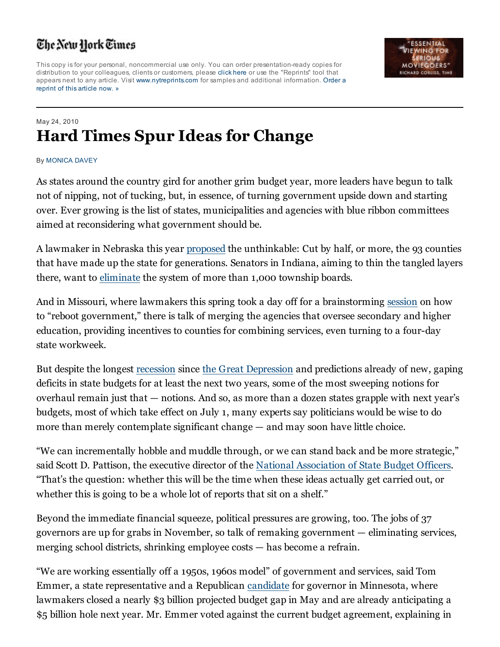## The New Hork Times

This copy is for your personal, noncommercial use only. You can order presentation-ready copies for distribution to your colleagues, clients or customers, please click here or use the "Reprints" tool that appears next to any article. Visit www.nytreprints.com for samples and additional information. Order a reprint of this article now. »



## May 24, 2010 Hard Times Spur Ideas for Change

## By MONICA DAVEY

As states around the country gird for another grim budget year, more leaders have begun to talk not of nipping, not of tucking, but, in essence, of turning government upside down and starting over. Ever growing is the list of states, municipalities and agencies with blue ribbon committees aimed at reconsidering what government should be.

A lawmaker in Nebraska this year proposed the unthinkable: Cut by half, or more, the 93 counties that have made up the state for generations. Senators in Indiana, aiming to thin the tangled layers there, want to eliminate the system of more than 1,000 township boards.

And in Missouri, where lawmakers this spring took a day off for a brainstorming session on how to "reboot government," there is talk of merging the agencies that oversee secondary and higher education, providing incentives to counties for combining services, even turning to a four-day state workweek.

But despite the longest recession since the Great Depression and predictions already of new, gaping deficits in state budgets for at least the next two years, some of the most sweeping notions for overhaul remain just that — notions. And so, as more than a dozen states grapple with next year's budgets, most of which take effect on July 1, many experts say politicians would be wise to do more than merely contemplate significant change — and may soon have little choice.

"We can incrementally hobble and muddle through, or we can stand back and be more strategic," said Scott D. Pattison, the executive director of the National Association of State Budget Officers. "That's the question: whether this will be the time when these ideas actually get carried out, or whether this is going to be a whole lot of reports that sit on a shelf."

Beyond the immediate financial squeeze, political pressures are growing, too. The jobs of 37 governors are up for grabs in November, so talk of remaking government — eliminating services, merging school districts, shrinking employee costs — has become a refrain.

"We are working essentially off a 1950s, 1960s model" of government and services, said Tom Emmer, a state representative and a Republican candidate for governor in Minnesota, where lawmakers closed a nearly \$3 billion projected budget gap in May and are already anticipating a \$5 billion hole next year. Mr. Emmer voted against the current budget agreement, explaining in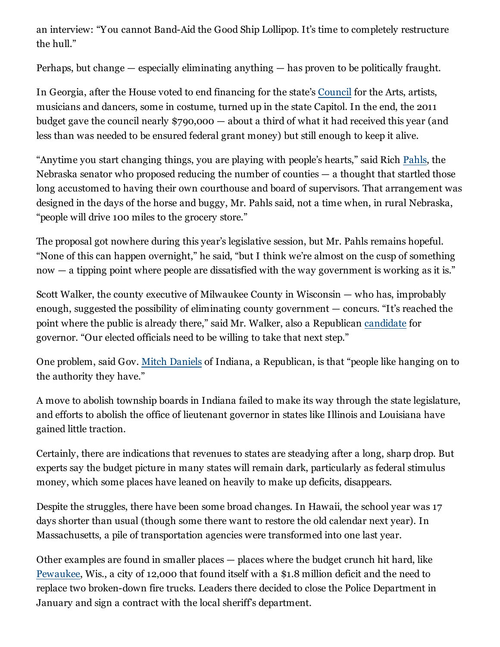an interview: "You cannot Band-Aid the Good Ship Lollipop. It's time to completely restructure the hull."

Perhaps, but change — especially eliminating anything — has proven to be politically fraught.

In Georgia, after the House voted to end financing for the state's Council for the Arts, artists, musicians and dancers, some in costume, turned up in the state Capitol. In the end, the 2011 budget gave the council nearly \$790,000 — about a third of what it had received this year (and less than was needed to be ensured federal grant money) but still enough to keep it alive.

"Anytime you start changing things, you are playing with people's hearts," said Rich Pahls, the Nebraska senator who proposed reducing the number of counties — a thought that startled those long accustomed to having their own courthouse and board of supervisors. That arrangement was designed in the days of the horse and buggy, Mr. Pahls said, not a time when, in rural Nebraska, "people will drive 100 miles to the grocery store."

The proposal got nowhere during this year's legislative session, but Mr. Pahls remains hopeful. "None of this can happen overnight," he said, "but I think we're almost on the cusp of something  $now - a$  tipping point where people are dissatisfied with the way government is working as it is."

Scott Walker, the county executive of Milwaukee County in Wisconsin — who has, improbably enough, suggested the possibility of eliminating county government — concurs. "It's reached the point where the public is already there," said Mr. Walker, also a Republican candidate for governor. "Our elected officials need to be willing to take that next step."

One problem, said Gov. Mitch Daniels of Indiana, a Republican, is that "people like hanging on to the authority they have."

A move to abolish township boards in Indiana failed to make its way through the state legislature, and efforts to abolish the office of lieutenant governor in states like Illinois and Louisiana have gained little traction.

Certainly, there are indications that revenues to states are steadying after a long, sharp drop. But experts say the budget picture in many states will remain dark, particularly as federal stimulus money, which some places have leaned on heavily to make up deficits, disappears.

Despite the struggles, there have been some broad changes. In Hawaii, the school year was 17 days shorter than usual (though some there want to restore the old calendar next year). In Massachusetts, a pile of transportation agencies were transformed into one last year.

Other examples are found in smaller places — places where the budget crunch hit hard, like Pewaukee, Wis., a city of 12,000 that found itself with a \$1.8 million deficit and the need to replace two broken-down fire trucks. Leaders there decided to close the Police Department in January and sign a contract with the local sheriff's department.